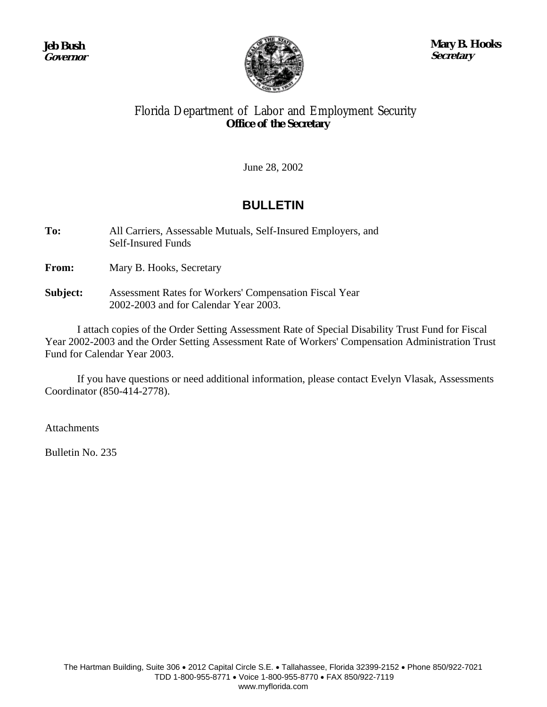

**Mary B. Hooks Secretary**

# Florida Department of Labor and Employment Security **Office of the Secretary**

June 28, 2002

# **BULLETIN**

**To:** All Carriers, Assessable Mutuals, Self-Insured Employers, and Self-Insured Funds

**From:** Mary B. Hooks, Secretary

**Subject:** Assessment Rates for Workers' Compensation Fiscal Year 2002-2003 and for Calendar Year 2003.

 I attach copies of the Order Setting Assessment Rate of Special Disability Trust Fund for Fiscal Year 2002-2003 and the Order Setting Assessment Rate of Workers' Compensation Administration Trust Fund for Calendar Year 2003.

 If you have questions or need additional information, please contact Evelyn Vlasak, Assessments Coordinator (850-414-2778).

Attachments

Bulletin No. 235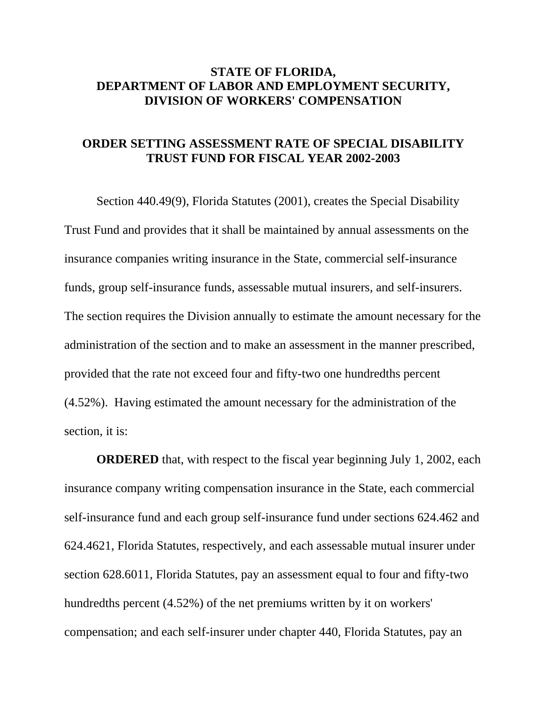## **STATE OF FLORIDA, DEPARTMENT OF LABOR AND EMPLOYMENT SECURITY, DIVISION OF WORKERS' COMPENSATION**

#### **ORDER SETTING ASSESSMENT RATE OF SPECIAL DISABILITY TRUST FUND FOR FISCAL YEAR 2002-2003**

 Section 440.49(9), Florida Statutes (2001), creates the Special Disability Trust Fund and provides that it shall be maintained by annual assessments on the insurance companies writing insurance in the State, commercial self-insurance funds, group self-insurance funds, assessable mutual insurers, and self-insurers. The section requires the Division annually to estimate the amount necessary for the administration of the section and to make an assessment in the manner prescribed, provided that the rate not exceed four and fifty-two one hundredths percent (4.52%). Having estimated the amount necessary for the administration of the section, it is:

**ORDERED** that, with respect to the fiscal year beginning July 1, 2002, each insurance company writing compensation insurance in the State, each commercial self-insurance fund and each group self-insurance fund under sections 624.462 and 624.4621, Florida Statutes, respectively, and each assessable mutual insurer under section 628.6011, Florida Statutes, pay an assessment equal to four and fifty-two hundredths percent (4.52%) of the net premiums written by it on workers' compensation; and each self-insurer under chapter 440, Florida Statutes, pay an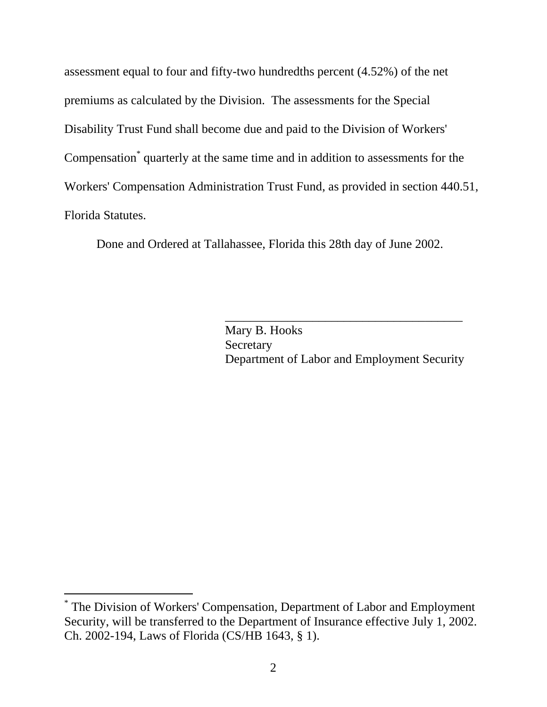assessment equal to four and fifty-two hundredths percent (4.52%) of the net premiums as calculated by the Division. The assessments for the Special Disability Trust Fund shall become due and paid to the Division of Workers' Compensation[\\*](#page-2-0) quarterly at the same time and in addition to assessments for the Workers' Compensation Administration Trust Fund, as provided in section 440.51, Florida Statutes.

Done and Ordered at Tallahassee, Florida this 28th day of June 2002.

Mary B. Hooks Secretary Department of Labor and Employment Security

\_\_\_\_\_\_\_\_\_\_\_\_\_\_\_\_\_\_\_\_\_\_\_\_\_\_\_\_\_\_\_\_\_\_\_\_\_\_

-

<span id="page-2-0"></span><sup>\*</sup> The Division of Workers' Compensation, Department of Labor and Employment Security, will be transferred to the Department of Insurance effective July 1, 2002. Ch. 2002-194, Laws of Florida (CS/HB 1643, § 1).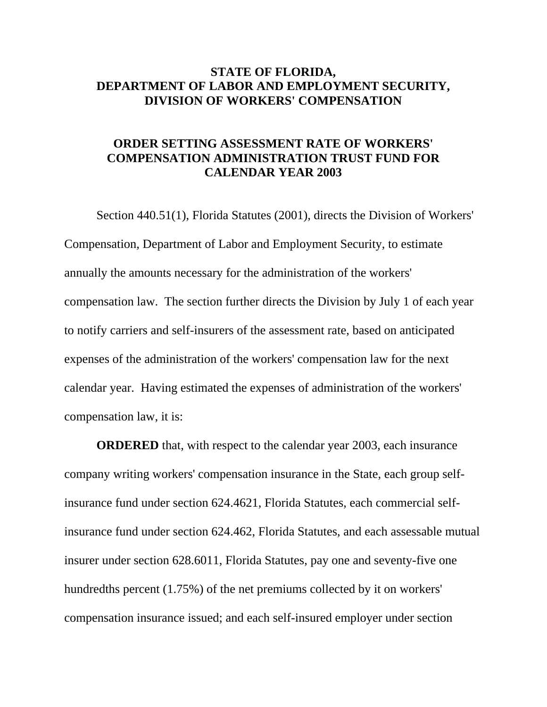## **STATE OF FLORIDA, DEPARTMENT OF LABOR AND EMPLOYMENT SECURITY, DIVISION OF WORKERS' COMPENSATION**

# **ORDER SETTING ASSESSMENT RATE OF WORKERS' COMPENSATION ADMINISTRATION TRUST FUND FOR CALENDAR YEAR 2003**

 Section 440.51(1), Florida Statutes (2001), directs the Division of Workers' Compensation, Department of Labor and Employment Security, to estimate annually the amounts necessary for the administration of the workers' compensation law. The section further directs the Division by July 1 of each year to notify carriers and self-insurers of the assessment rate, based on anticipated expenses of the administration of the workers' compensation law for the next calendar year. Having estimated the expenses of administration of the workers' compensation law, it is:

**ORDERED** that, with respect to the calendar year 2003, each insurance company writing workers' compensation insurance in the State, each group selfinsurance fund under section 624.4621, Florida Statutes, each commercial selfinsurance fund under section 624.462, Florida Statutes, and each assessable mutual insurer under section 628.6011, Florida Statutes, pay one and seventy-five one hundredths percent (1.75%) of the net premiums collected by it on workers' compensation insurance issued; and each self-insured employer under section